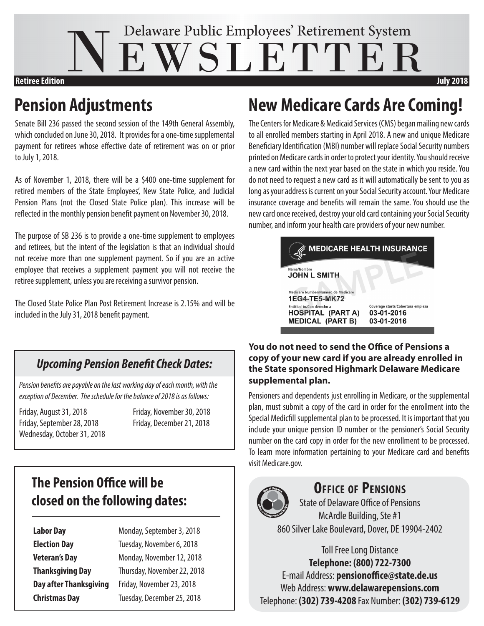# NEWSLETTER Delaware Public Employees' Retirement System **Retiree Edition July 2018**

Senate Bill 236 passed the second session of the 149th General Assembly, which concluded on June 30, 2018. It provides for a one-time supplemental payment for retirees whose effective date of retirement was on or prior to July 1, 2018.

As of November 1, 2018, there will be a \$400 one-time supplement for retired members of the State Employees', New State Police, and Judicial Pension Plans (not the Closed State Police plan). This increase will be reflected in the monthly pension benefit payment on November 30, 2018.

The purpose of SB 236 is to provide a one-time supplement to employees and retirees, but the intent of the legislation is that an individual should not receive more than one supplement payment. So if you are an active employee that receives a supplement payment you will not receive the retiree supplement, unless you are receiving a survivor pension.

The Closed State Police Plan Post Retirement Increase is 2.15% and will be included in the July 31, 2018 benefit payment.

#### *Upcoming Pension Benefit Check Dates:*

*Pension benefits are payable on the last working day of each month, with the exception of December. The schedule for the balance of 2018 is as follows:*

Friday, August 31, 2018 Friday, November 30, 2018 Friday, September 28, 2018 Friday, December 21, 2018 Wednesday, October 31, 2018

### **The Pension Office will be closed on the following dates:**

**Labor Day Monday, September 3, 2018** 

**Election Day Tuesday, November 6, 2018 Veteran's Day** Monday, November 12, 2018 **Thanksgiving Day** Thursday, November 22, 2018 **Day after Thanksgiving** Friday, November 23, 2018 **Christmas Day** Tuesday, December 25, 2018

## **Pension Adjustments New Medicare Cards Are Coming!**

The Centers for Medicare & Medicaid Services (CMS) began mailing new cards to all enrolled members starting in April 2018. A new and unique Medicare Beneficiary Identification (MBI) number will replace Social Security numbers printed on Medicare cards in order to protect your identity. You should receive a new card within the next year based on the state in which you reside. You do not need to request a new card as it will automatically be sent to you as long as your address is current on your Social Security account. Your Medicare insurance coverage and benefits will remain the same. You should use the new card once received, destroy your old card containing your Social Security number, and inform your health care providers of your new number.



#### **You do not need to send the Office of Pensions a copy of your new card if you are already enrolled in the State sponsored Highmark Delaware Medicare supplemental plan.**

Pensioners and dependents just enrolling in Medicare, or the supplemental plan, must submit a copy of the card in order for the enrollment into the Special Medicfill supplemental plan to be processed. It is important that you include your unique pension ID number or the pensioner's Social Security number on the card copy in order for the new enrollment to be processed. To learn more information pertaining to your Medicare card and benefits visit Medicare.gov.



#### **Office of Pensions**

State of Delaware Office of Pensions McArdle Building, Ste #1 860 Silver Lake Boulevard, Dover, DE 19904-2402

Toll Free Long Distance **Telephone: (800) 722-7300** E-mail Address: **pensionoffice@state.de.us** Web Address: **www.delawarepensions.com** Telephone: **(302) 739-4208** Fax Number: **(302) 739-6129**